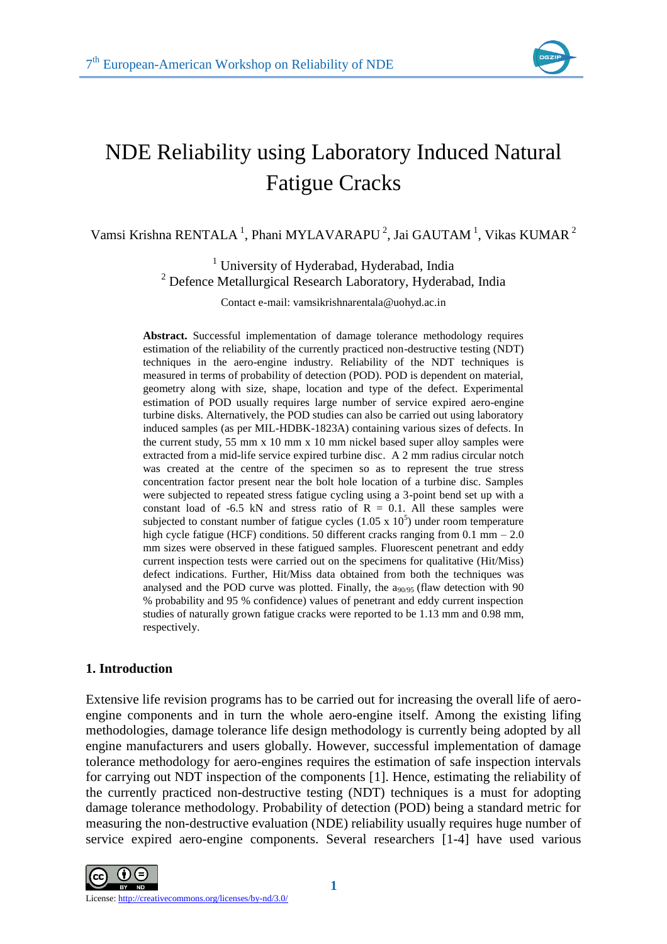

# NDE Reliability using Laboratory Induced Natural Fatigue Cracks

Vamsi Krishna RENTALA<sup>1</sup>, Phani MYLAVARAPU<sup>2</sup>, Jai GAUTAM<sup>1</sup>, Vikas KUMAR<sup>2</sup>

<sup>1</sup> University of Hyderabad, Hyderabad, India <sup>2</sup> Defence Metallurgical Research Laboratory, Hyderabad, India

Contact e-mail: vamsikrishnarentala@uohyd.ac.in

**Abstract.** Successful implementation of damage tolerance methodology requires estimation of the reliability of the currently practiced non-destructive testing (NDT) techniques in the aero-engine industry. Reliability of the NDT techniques is measured in terms of probability of detection (POD). POD is dependent on material, geometry along with size, shape, location and type of the defect. Experimental estimation of POD usually requires large number of service expired aero-engine turbine disks. Alternatively, the POD studies can also be carried out using laboratory induced samples (as per MIL-HDBK-1823A) containing various sizes of defects. In the current study, 55 mm x 10 mm x 10 mm nickel based super alloy samples were extracted from a mid-life service expired turbine disc. A 2 mm radius circular notch was created at the centre of the specimen so as to represent the true stress concentration factor present near the bolt hole location of a turbine disc. Samples were subjected to repeated stress fatigue cycling using a 3-point bend set up with a constant load of -6.5 kN and stress ratio of  $R = 0.1$ . All these samples were subjected to constant number of fatigue cycles  $(1.05 \times 10^5)$  under room temperature high cycle fatigue (HCF) conditions. 50 different cracks ranging from 0.1 mm – 2.0 mm sizes were observed in these fatigued samples. Fluorescent penetrant and eddy current inspection tests were carried out on the specimens for qualitative (Hit/Miss) defect indications. Further, Hit/Miss data obtained from both the techniques was analysed and the POD curve was plotted. Finally, the  $a_{90/95}$  (flaw detection with 90 % probability and 95 % confidence) values of penetrant and eddy current inspection studies of naturally grown fatigue cracks were reported to be 1.13 mm and 0.98 mm, respectively.

## **1. Introduction**

Extensive life revision programs has to be carried out for increasing the overall life of aeroengine components and in turn the whole aero-engine itself. Among the existing lifing methodologies, damage tolerance life design methodology is currently being adopted by all engine manufacturers and users globally. However, successful implementation of damage tolerance methodology for aero-engines requires the estimation of safe inspection intervals for carrying out NDT inspection of the components [1]. Hence, estimating the reliability of the currently practiced non-destructive testing (NDT) techniques is a must for adopting damage tolerance methodology. Probability of detection (POD) being a standard metric for measuring the non-destructive evaluation (NDE) reliability usually requires huge number of service expired aero-engine components. Several researchers [1-4] have used various

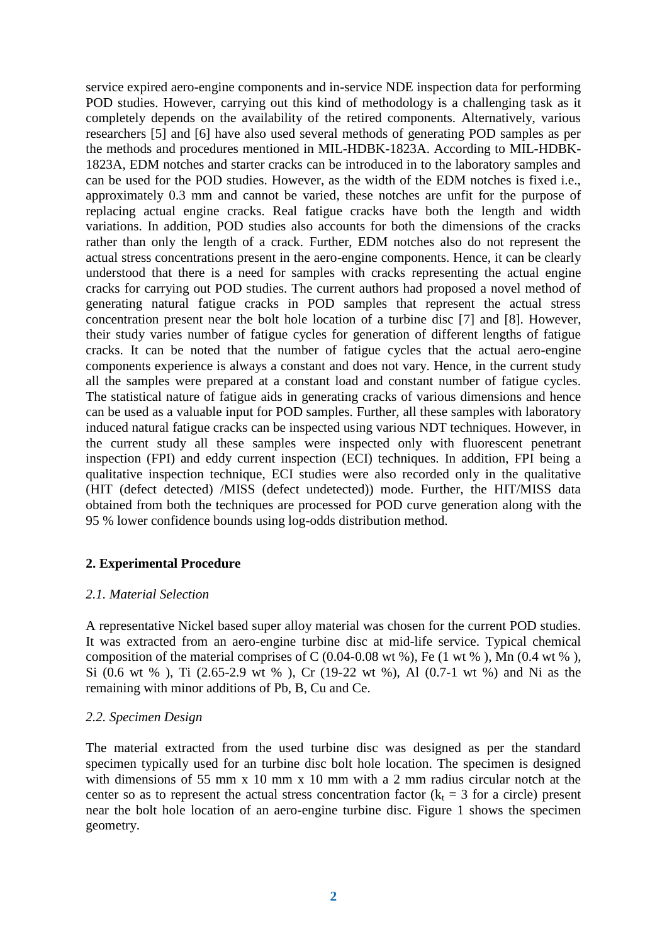service expired aero-engine components and in-service NDE inspection data for performing POD studies. However, carrying out this kind of methodology is a challenging task as it completely depends on the availability of the retired components. Alternatively, various researchers [5] and [6] have also used several methods of generating POD samples as per the methods and procedures mentioned in MIL-HDBK-1823A. According to MIL-HDBK-1823A, EDM notches and starter cracks can be introduced in to the laboratory samples and can be used for the POD studies. However, as the width of the EDM notches is fixed i.e., approximately 0.3 mm and cannot be varied, these notches are unfit for the purpose of replacing actual engine cracks. Real fatigue cracks have both the length and width variations. In addition, POD studies also accounts for both the dimensions of the cracks rather than only the length of a crack. Further, EDM notches also do not represent the actual stress concentrations present in the aero-engine components. Hence, it can be clearly understood that there is a need for samples with cracks representing the actual engine cracks for carrying out POD studies. The current authors had proposed a novel method of generating natural fatigue cracks in POD samples that represent the actual stress concentration present near the bolt hole location of a turbine disc [7] and [8]. However, their study varies number of fatigue cycles for generation of different lengths of fatigue cracks. It can be noted that the number of fatigue cycles that the actual aero-engine components experience is always a constant and does not vary. Hence, in the current study all the samples were prepared at a constant load and constant number of fatigue cycles. The statistical nature of fatigue aids in generating cracks of various dimensions and hence can be used as a valuable input for POD samples. Further, all these samples with laboratory induced natural fatigue cracks can be inspected using various NDT techniques. However, in the current study all these samples were inspected only with fluorescent penetrant inspection (FPI) and eddy current inspection (ECI) techniques. In addition, FPI being a qualitative inspection technique, ECI studies were also recorded only in the qualitative (HIT (defect detected) /MISS (defect undetected)) mode. Further, the HIT/MISS data obtained from both the techniques are processed for POD curve generation along with the 95 % lower confidence bounds using log-odds distribution method.

## **2. Experimental Procedure**

## *2.1. Material Selection*

A representative Nickel based super alloy material was chosen for the current POD studies. It was extracted from an aero-engine turbine disc at mid-life service. Typical chemical composition of the material comprises of C  $(0.04-0.08 \text{ wt } %)$ , Fe  $(1 \text{ wt } %)$ , Mn  $(0.4 \text{ wt } %)$ , Si (0.6 wt % ), Ti (2.65-2.9 wt % ), Cr (19-22 wt %), Al (0.7-1 wt %) and Ni as the remaining with minor additions of Pb, B, Cu and Ce.

## *2.2. Specimen Design*

The material extracted from the used turbine disc was designed as per the standard specimen typically used for an turbine disc bolt hole location. The specimen is designed with dimensions of 55 mm x 10 mm x 10 mm with a 2 mm radius circular notch at the center so as to represent the actual stress concentration factor ( $k_t = 3$  for a circle) present near the bolt hole location of an aero-engine turbine disc. Figure 1 shows the specimen geometry.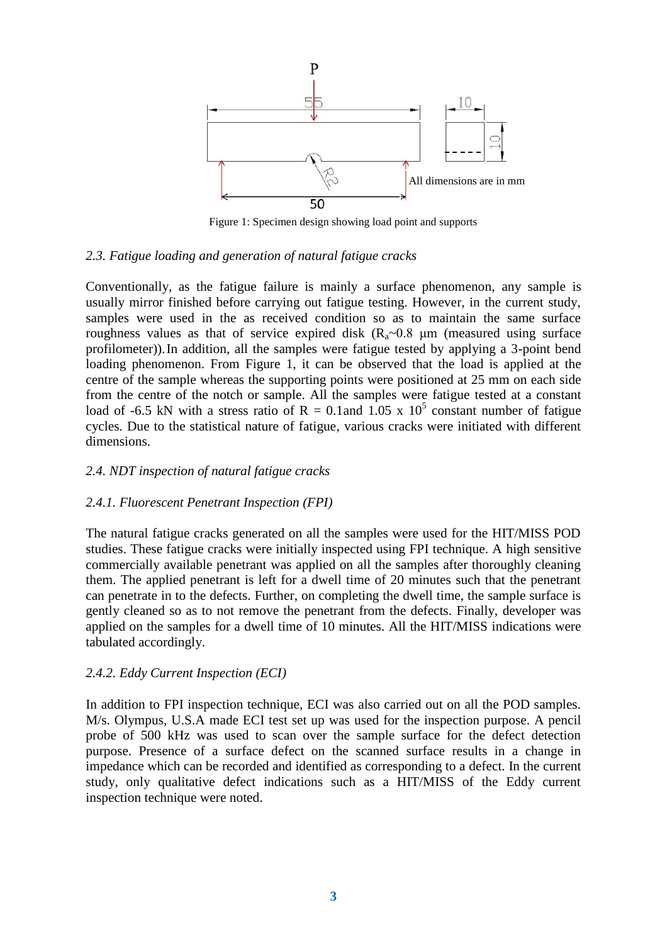

Figure 1: Specimen design showing load point and supports

## *2.3. Fatigue loading and generation of natural fatigue cracks*

Conventionally, as the fatigue failure is mainly a surface phenomenon, any sample is usually mirror finished before carrying out fatigue testing. However, in the current study, samples were used in the as received condition so as to maintain the same surface roughness values as that of service expired disk (R<sub>a</sub> $\sim$ 0.8 μm (measured using surface profilometer)).In addition, all the samples were fatigue tested by applying a 3-point bend loading phenomenon. From Figure 1, it can be observed that the load is applied at the centre of the sample whereas the supporting points were positioned at 25 mm on each side from the centre of the notch or sample. All the samples were fatigue tested at a constant load of -6.5 kN with a stress ratio of R = 0.1 and 1.05 x  $10^5$  constant number of fatigue cycles. Due to the statistical nature of fatigue, various cracks were initiated with different dimensions.

## *2.4. NDT inspection of natural fatigue cracks*

## *2.4.1. Fluorescent Penetrant Inspection (FPI)*

The natural fatigue cracks generated on all the samples were used for the HIT/MISS POD studies. These fatigue cracks were initially inspected using FPI technique. A high sensitive commercially available penetrant was applied on all the samples after thoroughly cleaning them. The applied penetrant is left for a dwell time of 20 minutes such that the penetrant can penetrate in to the defects. Further, on completing the dwell time, the sample surface is gently cleaned so as to not remove the penetrant from the defects. Finally, developer was applied on the samples for a dwell time of 10 minutes. All the HIT/MISS indications were tabulated accordingly.

## *2.4.2. Eddy Current Inspection (ECI)*

In addition to FPI inspection technique, ECI was also carried out on all the POD samples. M/s. Olympus, U.S.A made ECI test set up was used for the inspection purpose. A pencil probe of 500 kHz was used to scan over the sample surface for the defect detection purpose. Presence of a surface defect on the scanned surface results in a change in impedance which can be recorded and identified as corresponding to a defect. In the current study, only qualitative defect indications such as a HIT/MISS of the Eddy current inspection technique were noted.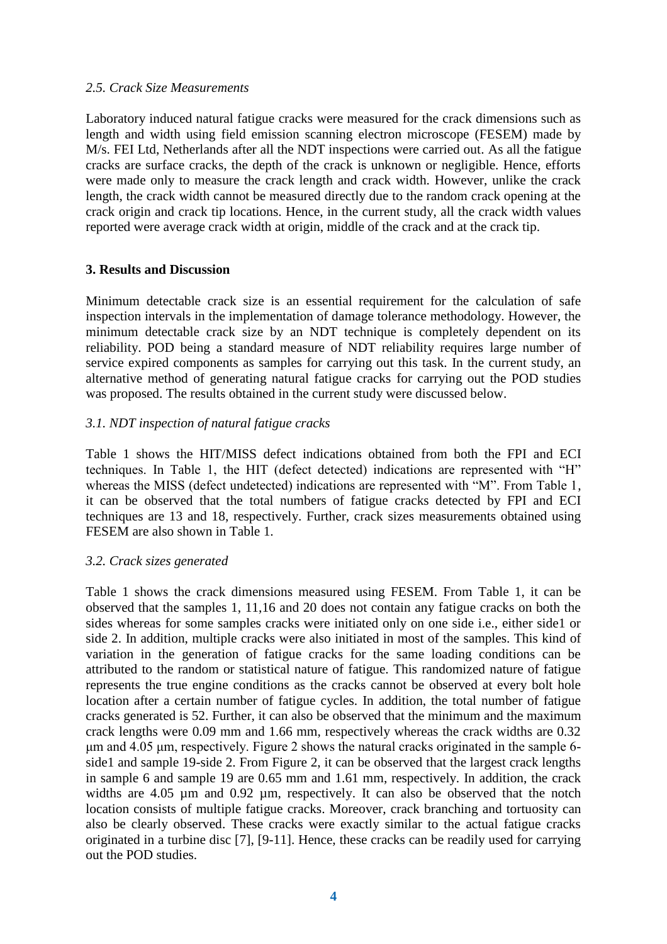## *2.5. Crack Size Measurements*

Laboratory induced natural fatigue cracks were measured for the crack dimensions such as length and width using field emission scanning electron microscope (FESEM) made by M/s. FEI Ltd, Netherlands after all the NDT inspections were carried out. As all the fatigue cracks are surface cracks, the depth of the crack is unknown or negligible. Hence, efforts were made only to measure the crack length and crack width. However, unlike the crack length, the crack width cannot be measured directly due to the random crack opening at the crack origin and crack tip locations. Hence, in the current study, all the crack width values reported were average crack width at origin, middle of the crack and at the crack tip.

## **3. Results and Discussion**

Minimum detectable crack size is an essential requirement for the calculation of safe inspection intervals in the implementation of damage tolerance methodology. However, the minimum detectable crack size by an NDT technique is completely dependent on its reliability. POD being a standard measure of NDT reliability requires large number of service expired components as samples for carrying out this task. In the current study, an alternative method of generating natural fatigue cracks for carrying out the POD studies was proposed. The results obtained in the current study were discussed below.

## *3.1. NDT inspection of natural fatigue cracks*

Table 1 shows the HIT/MISS defect indications obtained from both the FPI and ECI techniques. In Table 1, the HIT (defect detected) indications are represented with "H" whereas the MISS (defect undetected) indications are represented with "M". From Table 1, it can be observed that the total numbers of fatigue cracks detected by FPI and ECI techniques are 13 and 18, respectively. Further, crack sizes measurements obtained using FESEM are also shown in Table 1.

## *3.2. Crack sizes generated*

Table 1 shows the crack dimensions measured using FESEM. From Table 1, it can be observed that the samples 1, 11,16 and 20 does not contain any fatigue cracks on both the sides whereas for some samples cracks were initiated only on one side i.e., either side1 or side 2. In addition, multiple cracks were also initiated in most of the samples. This kind of variation in the generation of fatigue cracks for the same loading conditions can be attributed to the random or statistical nature of fatigue. This randomized nature of fatigue represents the true engine conditions as the cracks cannot be observed at every bolt hole location after a certain number of fatigue cycles. In addition, the total number of fatigue cracks generated is 52. Further, it can also be observed that the minimum and the maximum crack lengths were 0.09 mm and 1.66 mm, respectively whereas the crack widths are 0.32 μm and 4.05 μm, respectively. Figure 2 shows the natural cracks originated in the sample 6 side1 and sample 19-side 2. From Figure 2, it can be observed that the largest crack lengths in sample 6 and sample 19 are 0.65 mm and 1.61 mm, respectively. In addition, the crack widths are 4.05 µm and 0.92 µm, respectively. It can also be observed that the notch location consists of multiple fatigue cracks. Moreover, crack branching and tortuosity can also be clearly observed. These cracks were exactly similar to the actual fatigue cracks originated in a turbine disc [7], [9-11]. Hence, these cracks can be readily used for carrying out the POD studies.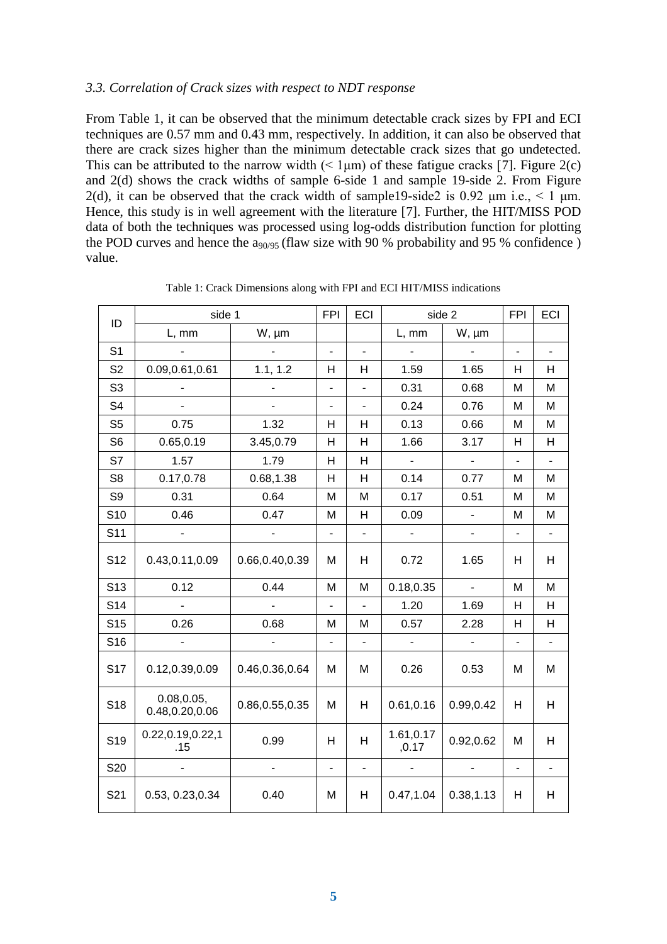#### *3.3. Correlation of Crack sizes with respect to NDT response*

From Table 1, it can be observed that the minimum detectable crack sizes by FPI and ECI techniques are 0.57 mm and 0.43 mm, respectively. In addition, it can also be observed that there are crack sizes higher than the minimum detectable crack sizes that go undetected. This can be attributed to the narrow width  $($  1 $\mu$ m) of these fatigue cracks [7]. Figure 2(c) and 2(d) shows the crack widths of sample 6-side 1 and sample 19-side 2. From Figure 2(d), it can be observed that the crack width of sample19-side2 is 0.92  $\mu$ m i.e., < 1  $\mu$ m. Hence, this study is in well agreement with the literature [7]. Further, the HIT/MISS POD data of both the techniques was processed using log-odds distribution function for plotting the POD curves and hence the  $a_{90/95}$  (flaw size with 90 % probability and 95 % confidence) value.

| ID              | side 1                        |                          | <b>FPI</b>                   | ECI                      | side 2              |                | <b>FPI</b>               | ECI            |
|-----------------|-------------------------------|--------------------------|------------------------------|--------------------------|---------------------|----------------|--------------------------|----------------|
|                 | L, mm                         | W, µm                    |                              |                          | L, mm               | W, µm          |                          |                |
| S <sub>1</sub>  |                               |                          | $\overline{\phantom{a}}$     | $\overline{\phantom{0}}$ |                     |                | $\overline{\phantom{0}}$ | $\blacksquare$ |
| S <sub>2</sub>  | 0.09,0.61,0.61                | 1.1, 1.2                 | Н                            | Н                        | 1.59                | 1.65           | H                        | Н              |
| S <sub>3</sub>  | $\overline{\phantom{a}}$      | $\overline{\phantom{0}}$ | $\qquad \qquad \blacksquare$ | ÷,                       | 0.31                | 0.68           | M                        | M              |
| S <sub>4</sub>  | $\overline{a}$                |                          | $\overline{a}$               | $\overline{\phantom{0}}$ | 0.24                | 0.76           | M                        | M              |
| S <sub>5</sub>  | 0.75                          | 1.32                     | н                            | Η                        | 0.13                | 0.66           | M                        | M              |
| S <sub>6</sub>  | 0.65, 0.19                    | 3.45,0.79                | H                            | Н                        | 1.66                | 3.17           | Н                        | Н              |
| S7              | 1.57                          | 1.79                     | H                            | H                        |                     |                | $\overline{a}$           |                |
| S <sub>8</sub>  | 0.17,0.78                     | 0.68, 1.38               | н                            | H                        | 0.14                | 0.77           | M                        | M              |
| S9              | 0.31                          | 0.64                     | M                            | M                        | 0.17                | 0.51           | M                        | M              |
| S <sub>10</sub> | 0.46                          | 0.47                     | M                            | Н                        | 0.09                |                | M                        | M              |
| S <sub>11</sub> | $\blacksquare$                | $\blacksquare$           | ÷,                           | $\overline{\phantom{0}}$ | $\blacksquare$      | ÷.             | $\overline{\phantom{a}}$ | $\blacksquare$ |
| S <sub>12</sub> | 0.43,0.11,0.09                | 0.66,0.40,0.39           | M                            | Н                        | 0.72                | 1.65           | Н                        | Н              |
| S <sub>13</sub> | 0.12                          | 0.44                     | M                            | M                        | 0.18,0.35           | $\blacksquare$ | M                        | M              |
| S <sub>14</sub> | $\overline{a}$                |                          | $\overline{\phantom{0}}$     | L.                       | 1.20                | 1.69           | H                        | H              |
| S <sub>15</sub> | 0.26                          | 0.68                     | M                            | M                        | 0.57                | 2.28           | Н                        | Н              |
| S16             | $\overline{a}$                | $\blacksquare$           | ÷,                           | $\overline{a}$           | $\blacksquare$      | $\blacksquare$ | $\overline{\phantom{a}}$ | $\blacksquare$ |
| <b>S17</b>      | 0.12,0.39,0.09                | 0.46,0.36,0.64           | M                            | M                        | 0.26                | 0.53           | M                        | M              |
| S <sub>18</sub> | 0.08, 0.05,<br>0.48,0.20,0.06 | 0.86,0.55,0.35           | M                            | H                        | 0.61, 0.16          | 0.99,0.42      | H                        | Н              |
| S <sub>19</sub> | 0.22,0.19,0.22,1<br>.15       | 0.99                     | H                            | H                        | 1.61,0.17<br>, 0.17 | 0.92,0.62      | M                        | Н              |
| S20             | $\overline{a}$                |                          | $\overline{a}$               | $\overline{\phantom{0}}$ |                     |                | ÷,                       | ÷,             |
| S21             | 0.53, 0.23, 0.34              | 0.40                     | M                            | Н                        | 0.47, 1.04          | 0.38, 1.13     | Н                        | Н              |

Table 1: Crack Dimensions along with FPI and ECI HIT/MISS indications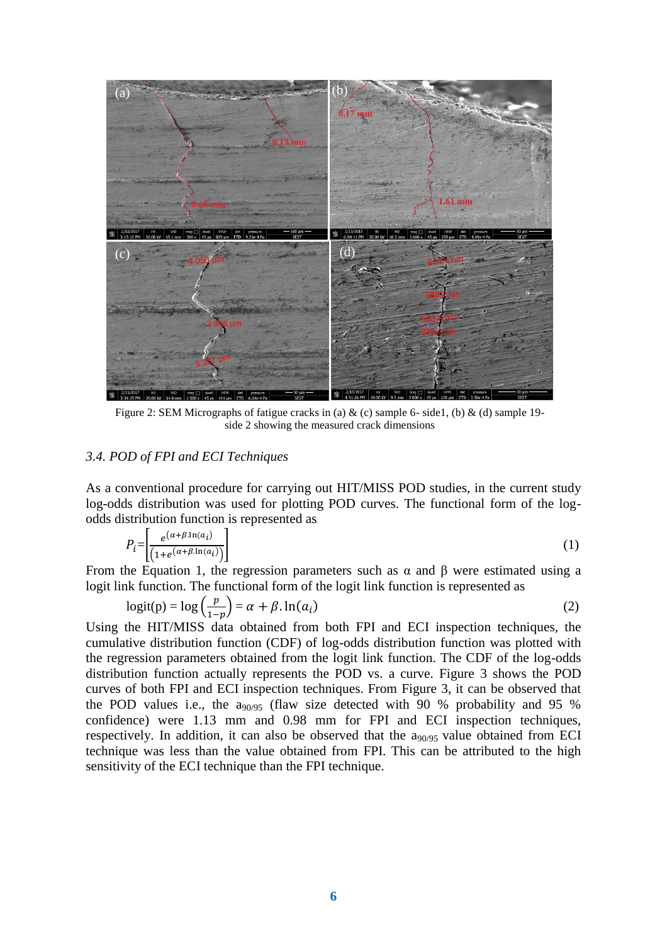

Figure 2: SEM Micrographs of fatigue cracks in (a)  $\&$  (c) sample 6- side1, (b)  $\&$  (d) sample 19side 2 showing the measured crack dimensions

#### *3.4. POD of FPI and ECI Techniques*

As a conventional procedure for carrying out HIT/MISS POD studies, in the current study log-odds distribution was used for plotting POD curves. The functional form of the logodds distribution function is represented as

$$
P_i = \left[ \frac{e^{(\alpha + \beta \cdot \ln(a_i))}}{(1 + e^{(\alpha + \beta \cdot \ln(a_i))})} \right]
$$
 (1)

From the Equation 1, the regression parameters such as  $\alpha$  and  $\beta$  were estimated using a logit link function. The functional form of the logit link function is represented as

$$
logit(p) = log\left(\frac{p}{1-p}\right) = \alpha + \beta \cdot ln(a_i)
$$
\n(2)

Using the HIT/MISS data obtained from both FPI and ECI inspection techniques, the cumulative distribution function (CDF) of log-odds distribution function was plotted with the regression parameters obtained from the logit link function. The CDF of the log-odds distribution function actually represents the POD vs. a curve. Figure 3 shows the POD curves of both FPI and ECI inspection techniques. From Figure 3, it can be observed that the POD values i.e., the  $a_{90/95}$  (flaw size detected with 90 % probability and 95 % confidence) were 1.13 mm and 0.98 mm for FPI and ECI inspection techniques, respectively. In addition, it can also be observed that the  $a_{90/95}$  value obtained from ECI technique was less than the value obtained from FPI. This can be attributed to the high sensitivity of the ECI technique than the FPI technique.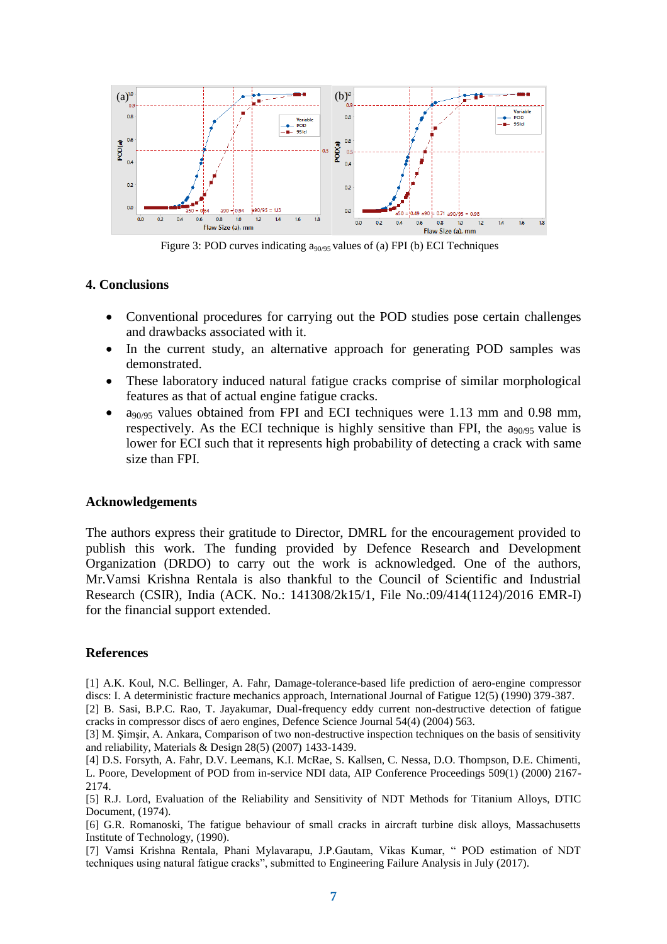

Figure 3: POD curves indicating a<sub>90/95</sub> values of (a) FPI (b) ECI Techniques

#### **4. Conclusions**

- Conventional procedures for carrying out the POD studies pose certain challenges and drawbacks associated with it.
- In the current study, an alternative approach for generating POD samples was demonstrated.
- These laboratory induced natural fatigue cracks comprise of similar morphological features as that of actual engine fatigue cracks.
- a90/95 values obtained from FPI and ECI techniques were 1.13 mm and 0.98 mm, respectively. As the ECI technique is highly sensitive than FPI, the  $a_{90/95}$  value is lower for ECI such that it represents high probability of detecting a crack with same size than FPI.

#### **Acknowledgements**

The authors express their gratitude to Director, DMRL for the encouragement provided to publish this work. The funding provided by Defence Research and Development Organization (DRDO) to carry out the work is acknowledged. One of the authors, Mr.Vamsi Krishna Rentala is also thankful to the Council of Scientific and Industrial Research (CSIR), India (ACK. No.: 141308/2k15/1, File No.:09/414(1124)/2016 EMR-I) for the financial support extended.

#### **References**

[1] A.K. Koul, N.C. Bellinger, A. Fahr, Damage-tolerance-based life prediction of aero-engine compressor discs: I. A deterministic fracture mechanics approach, International Journal of Fatigue 12(5) (1990) 379-387.

[2] B. Sasi, B.P.C. Rao, T. Jayakumar, Dual-frequency eddy current non-destructive detection of fatigue cracks in compressor discs of aero engines, Defence Science Journal 54(4) (2004) 563.

[3] M. Şimşir, A. Ankara, Comparison of two non-destructive inspection techniques on the basis of sensitivity and reliability, Materials & Design 28(5) (2007) 1433-1439.

[4] D.S. Forsyth, A. Fahr, D.V. Leemans, K.I. McRae, S. Kallsen, C. Nessa, D.O. Thompson, D.E. Chimenti, L. Poore, Development of POD from in-service NDI data, AIP Conference Proceedings 509(1) (2000) 2167- 2174.

[5] R.J. Lord, Evaluation of the Reliability and Sensitivity of NDT Methods for Titanium Alloys, DTIC Document, (1974).

[6] G.R. Romanoski, The fatigue behaviour of small cracks in aircraft turbine disk alloys, Massachusetts Institute of Technology, (1990).

[7] Vamsi Krishna Rentala, Phani Mylavarapu, J.P.Gautam, Vikas Kumar, " POD estimation of NDT techniques using natural fatigue cracks", submitted to Engineering Failure Analysis in July (2017).